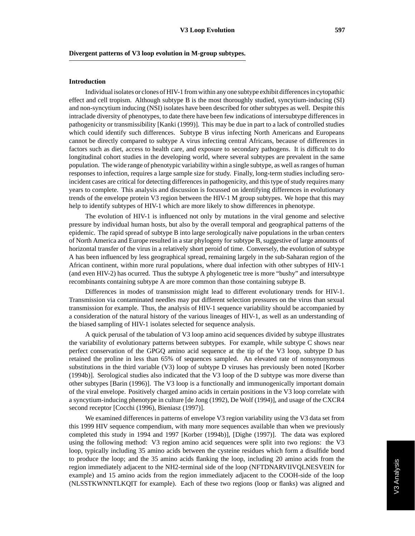## **Divergent patterns of V3 loop evolution in M-group subtypes.**

## **Introduction**

Individual isolates or clones of HIV-1 from within any one subtype exhibit differences in cytopathic effect and cell tropism. Although subtype B is the most thoroughly studied, syncytium-inducing (SI) and non-syncytium inducing (NSI) isolates have been described for other subtypes as well. Despite this intraclade diversity of phenotypes, to date there have been few indications of intersubtype differences in pathogenicity or transmissibility [Kanki (1999)]. This may be due in part to a lack of controlled studies which could identify such differences. Subtype B virus infecting North Americans and Europeans cannot be directly compared to subtype A virus infecting central Africans, because of differences in factors such as diet, access to health care, and exposure to secondary pathogens. It is difficult to do longitudinal cohort studies in the developing world, where several subtypes are prevalent in the same population. The wide range of phenotypic variability within a single subtype, as well as ranges of human responses to infection, requires a large sample size for study. Finally, long-term studies including seroincident cases are critical for detecting differences in pathogenicity, and this type of study requires many years to complete. This analysis and discussion is focussed on identifying differences in evolutionary trends of the envelope protein V3 region between the HIV-1 M group subtypes. We hope that this may help to identify subtypes of HIV-1 which are more likely to show differences in phenotype.

The evolution of HIV-1 is influenced not only by mutations in the viral genome and selective pressure by individual human hosts, but also by the overall temporal and geographical patterns of the epidemic. The rapid spread of subtype B into large serologically naive populations in the urban centers of North America and Europe resulted in a star phylogeny for subtype B, suggestive of large amounts of horizontal transfer of the virus in a relatively short peroid of time. Conversely, the evolution of subtype A has been influenced by less geographical spread, remaining largely in the sub-Saharan region of the African continent, within more rural populations, where dual infection with other subtypes of HIV-1 (and even HIV-2) has ocurred. Thus the subtype A phylogenetic tree is more "bushy" and intersubtype recombinants containing subtype A are more common than those containing subtype B.

Differences in modes of transmission might lead to different evolutionary trends for HIV-1. Transmission via contaminated needles may put different selection pressures on the virus than sexual transmission for example. Thus, the analysis of HIV-1 sequence variability should be accompanied by a consideration of the natural history of the various lineages of HIV-1, as well as an understanding of the biased sampling of HIV-1 isolates selected for sequence analysis.

A quick perusal of the tabulation of V3 loop amino acid sequences divided by subtype illustrates the variability of evolutionary patterns between subtypes. For example, while subtype C shows near perfect conservation of the GPGQ amino acid sequence at the tip of the V3 loop, subtype D has retained the proline in less than 65% of sequences sampled. An elevated rate of nonsynonymous substitutions in the third variable (V3) loop of subtype D viruses has previously been noted [Korber (1994b)]. Serological studies also indicated that the V3 loop of the D subtype was more diverse than other subtypes [Barin (1996)]. The V3 loop is a functionally and immunogenically important domain of the viral envelope. Positively charged amino acids in certain positions in the V3 loop correlate with a syncytium-inducing phenotype in culture [de Jong (1992), De Wolf (1994)], and usage of the CXCR4 second receptor [Cocchi (1996), Bieniasz (1997)].

We examined differences in patterns of envelope V3 region variability using the V3 data set from this 1999 HIV sequence compendium, with many more sequences available than when we previously completed this study in 1994 and 1997 [Korber (1994b)], [Dighe (1997)]. The data was explored using the following method: V3 region amino acid sequences were split into two regions: the V3 loop, typically including 35 amino acids between the cysteine residues which form a disulfide bond to produce the loop; and the 35 amino acids flanking the loop, including 20 amino acids from the region immediately adjacent to the NH2-terminal side of the loop (NFTDNARVIIVQLNESVEIN for example) and 15 amino acids from the region immediately adjacent to the COOH-side of the loop (NLSSTKWNNTLKQIT for example). Each of these two regions (loop or flanks) was aligned and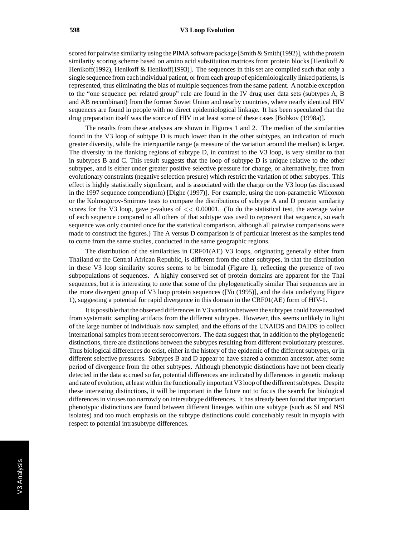scored for pairwise similarity using the PIMA software package [Smith  $\&$  Smith(1992)], with the protein similarity scoring scheme based on amino acid substitution matrices from protein blocks [Henikoff & Henikoff(1992), Henikoff & Henikoff(1993)]. The sequences in this set are compiled such that only a single sequence from each individual patient, or from each group of epidemiologically linked patients, is represented, thus eliminating the bias of multiple sequences from the same patient. A notable exception to the "one sequence per related group" rule are found in the IV drug user data sets (subtypes A, B and AB recombinant) from the former Soviet Union and nearby countries, where nearly identical HIV sequences are found in people with no direct epidemiological linkage. It has been speculated that the drug preparation itself was the source of HIV in at least some of these cases [Bobkov (1998a)].

The results from these analyses are shown in Figures 1 and 2. The median of the similarities found in the V3 loop of subtype D is much lower than in the other subtypes, an indication of much greater diversity, while the interquartile range (a measure of the variation around the median) is larger. The diversity in the flanking regions of subtype D, in contrast to the V3 loop, is very similar to that in subtypes B and C. This result suggests that the loop of subtype D is unique relative to the other subtypes, and is either under greater positive selective pressure for change, or alternatively, free from evolutionary constraints (negative selection presure) which restrict the variation of other subtypes. This effect is highly statistically significant, and is associated with the charge on the V3 loop (as discussed in the 1997 sequence compendium) [Dighe (1997)]. For example, using the non-parametric Wilcoxon or the Kolmogorov-Smirnov tests to compare the distributions of subtype A and D protein similarity scores for the V3 loop, gave p-values of *<<* 0.00001. (To do the statistical test, the average value of each sequence compared to all others of that subtype was used to represent that sequence, so each sequence was only counted once for the statistical comparison, although all pairwise comparisons were made to construct the figures.) The A versus D comparison is of particular interest as the samples tend to come from the same studies, conducted in the same geographic regions.

The distribution of the similarities in CRF01(AE) V3 loops, originating generally either from Thailand or the Central African Republic, is different from the other subtypes, in that the distribution in these V3 loop similarity scores seems to be bimodal (Figure 1), reflecting the presence of two subpopulations of sequences. A highly conserved set of protein domains are apparent for the Thai sequences, but it is interesting to note that some of the phylogenetically similar Thai sequences are in the more divergent group of V3 loop protein sequences ([Yu (1995)], and the data underlying Figure 1), suggesting a potential for rapid divergence in this domain in the CRF01(AE) form of HIV-1.

It is possible that the observed differences in V3 variation between the subtypes could have resulted from systematic sampling artifacts from the different subtypes. However, this seems unlikely in light of the large number of individuals now sampled, and the efforts of the UNAIDS and DAIDS to collect international samples from recent seroconvertors. The data suggest that, in addition to the phylogenetic distinctions, there are distinctions between the subtypes resulting from different evolutionary pressures. Thus biological differences do exist, either in the history of the epidemic of the different subtypes, or in different selective pressures. Subtypes B and D appear to have shared a common ancestor, after some period of divergence from the other subtypes. Although phenotypic distinctions have not been clearly detected in the data accrued so far, potential differences are indicated by differences in genetic makeup and rate of evolution, at least within the functionally important V3 loop of the different subtypes. Despite these interesting distinctions, it will be important in the future not to focus the search for biological differences in viruses too narrowly on intersubtype differences. It has already been found that important phenotypic distinctions are found between different lineages within one subtype (such as SI and NSI isolates) and too much emphasis on the subtype distinctions could conceivably result in myopia with respect to potential intrasubtype differences.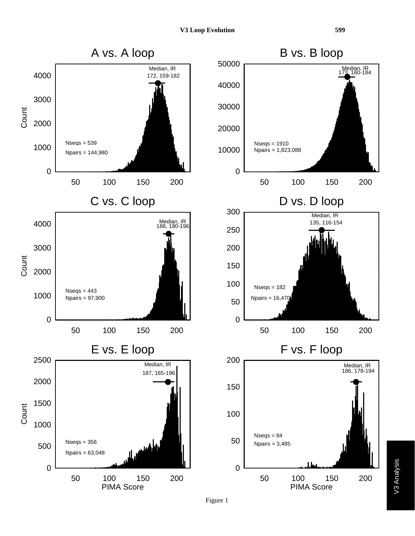